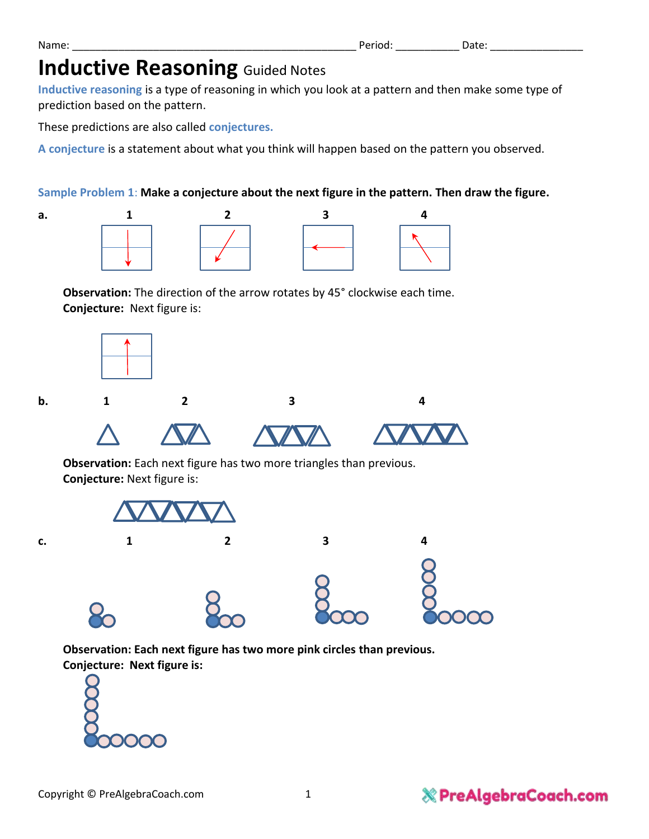# **Inductive Reasoning Guided Notes**

**Inductive reasoning** is a type of reasoning in which you look at a pattern and then make some type of prediction based on the pattern.

These predictions are also called **conjectures.**

**A conjecture** is a statement about what you think will happen based on the pattern you observed.

## **Sample Problem 1**: **Make a conjecture about the next figure in the pattern. Then draw the figure.**







**Observation:** The direction of the arrow rotates by 45° clockwise each time. **Conjecture:** Next figure is:



**b.** 1 2 3 4







**Observation:** Each next figure has two more triangles than previous. **Conjecture:** Next figure is:



**Observation: Each next figure has two more pink circles than previous. Conjecture: Next figure is:** 



### Name: \_\_\_\_\_\_\_\_\_\_\_\_\_\_\_\_\_\_\_\_\_\_\_\_\_\_\_\_\_\_\_\_\_\_\_\_\_\_\_\_\_\_\_\_\_\_\_\_\_ Period: \_\_\_\_\_\_\_\_\_\_\_ Date: \_\_\_\_\_\_\_\_\_\_\_\_\_\_\_\_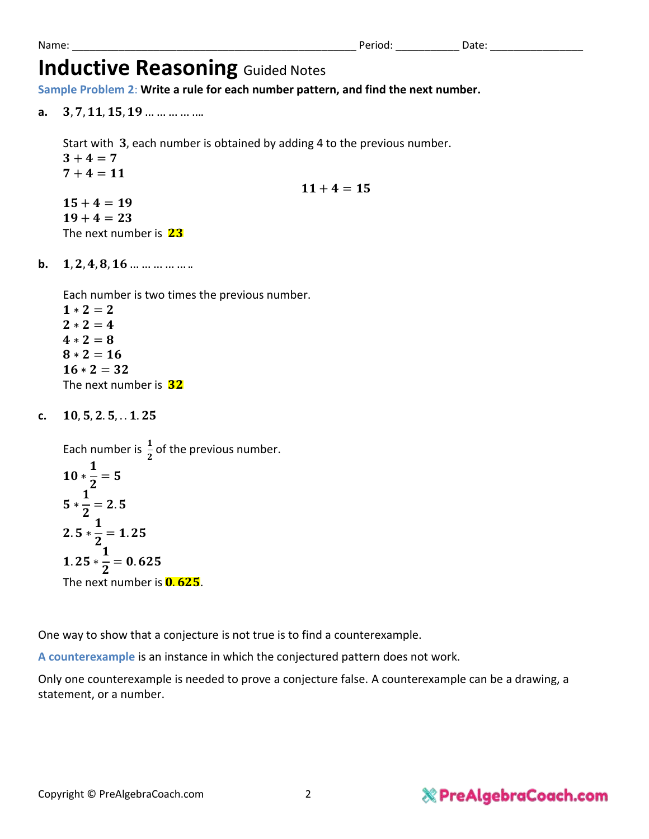# **Inductive Reasoning Guided Notes**

**Sample Problem 2**: **Write a rule for each number pattern, and find the next number.**

**a.** 3.7.11.15.19 ... ... ... ... ...

Start with 3, each number is obtained by adding 4 to the previous number.  $3 + 4 = 7$  $7 + 4 = 11$  $11 + 4 = 15$  $15 + 4 = 19$  $19 + 4 = 23$ The next number is  $23$ 

**b.**  $1, 2, 4, 8, 16$  ... ... ... ... ...

Each number is two times the previous number.

 $1 * 2 = 2$  $2 * 2 = 4$  $4 * 2 = 8$  $8 * 2 = 16$  $16 * 2 = 32$ The next number is 32

c. 10.5.2.5...1.25

Each number is  $\frac{1}{2}$  of the previous number. ∗  $\mathbf{1}$  $\mathbf{z}$  $= 5$  ∗  $\mathbf{1}$  $\mathbf{z}$  $= 2.5$  $2.5*$  $\mathbf{1}$  $\mathbf{z}$  $= 1.25$  $1.25*$  $\mathbf{1}$  $\mathbf{z}$  $= 0.625$ The next number is  $0.625$ .

One way to show that a conjecture is not true is to find a counterexample.

**A counterexample** is an instance in which the conjectured pattern does not work.

Only one counterexample is needed to prove a conjecture false. A counterexample can be a drawing, a statement, or a number.

## **& PreAlgebraCoach.com**